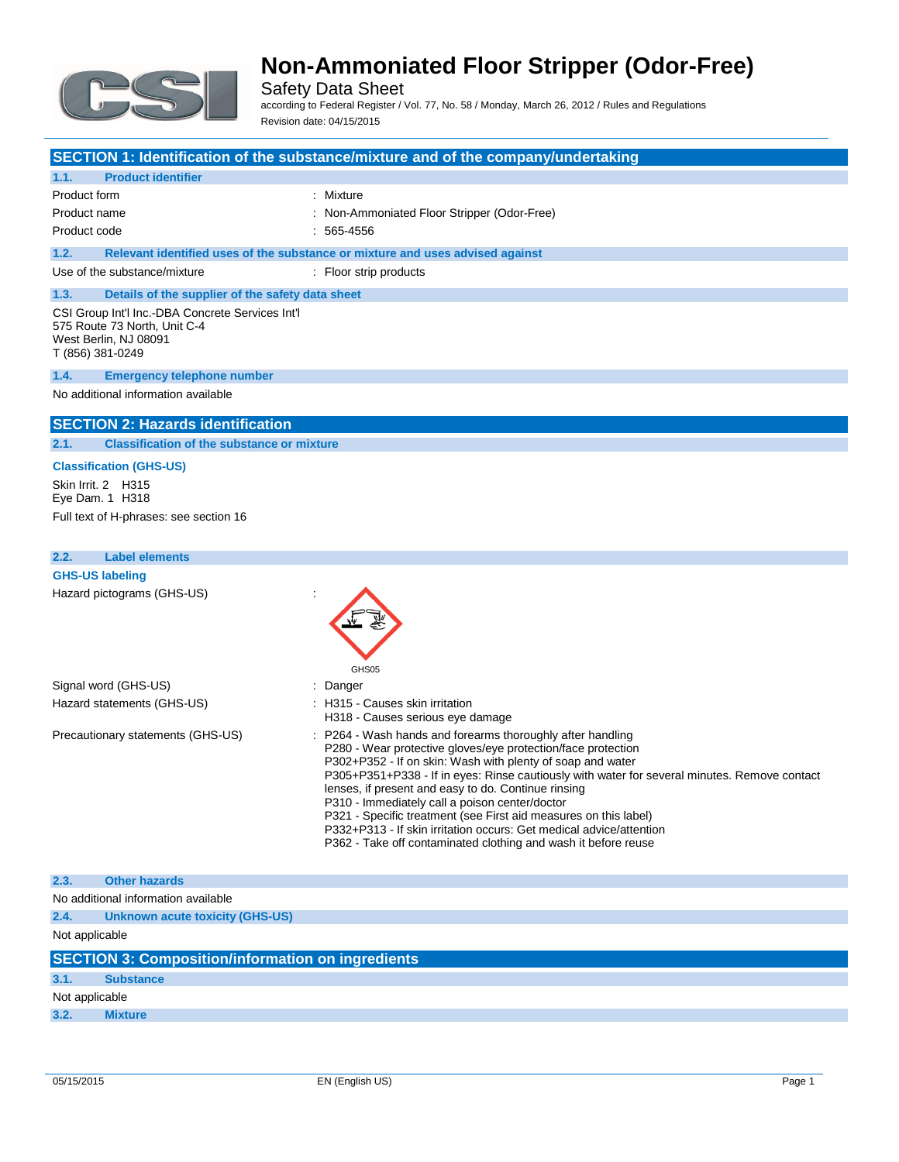

Safety Data Sheet

according to Federal Register / Vol. 77, No. 58 / Monday, March 26, 2012 / Rules and Regulations Revision date: 04/15/2015

#### **SECTION 1: Identification of the substance/mixture and of the company/undertaking**

### **1.1. Product identifier** Product form : Nixture Product name **in the stripper contract in the stripper (Stripper (Odor-Free)**  $\cdot$  Non-Ammoniated Floor Stripper (Odor-Free) Product code : 565-4556 **1.2. Relevant identified uses of the substance or mixture and uses advised against** Use of the substance/mixture : Floor strip products **1.3. Details of the supplier of the safety data sheet** CSI Group Int'l Inc.-DBA Concrete Services Int'l 575 Route 73 North, Unit C-4 West Berlin, NJ 08091 T (856) 381-0249 **1.4. Emergency telephone number** No additional information available **SECTION 2: Hazards identification**

### **2.1. Classification of the substance or mixture**

### **Classification (GHS-US)**

Skin Irrit. 2 H315 Eye Dam. 1 H318 Full text of H-phrases: see section 16

**2.4. Unknown acute toxicity (GHS-US)**

### **2.2. Label elements GHS-US labeling** Hazard pictograms (GHS-US) : GHS<sub>05</sub> Signal word (GHS-US) in the state of the Signal word (GHS-US) in the state of the Signal and Signal and Signal Signal and Signal and Signal and Signal and Signal and Signal and Signal and Signal and Signal and Signal and S Hazard statements (GHS-US) : H315 - Causes skin irritation H318 - Causes serious eye damage Precautionary statements (GHS-US) : P264 - Wash hands and forearms thoroughly after handling P280 - Wear protective gloves/eye protection/face protection P302+P352 - If on skin: Wash with plenty of soap and water P305+P351+P338 - If in eyes: Rinse cautiously with water for several minutes. Remove contact lenses, if present and easy to do. Continue rinsing P310 - Immediately call a poison center/doctor P321 - Specific treatment (see First aid measures on this label) P332+P313 - If skin irritation occurs: Get medical advice/attention P362 - Take off contaminated clothing and wash it before reuse **2.3. Other hazards** No additional information available

|                | <b>2.4. UNIOWN ACULE LOXICITY (UND-US)</b>               |
|----------------|----------------------------------------------------------|
| Not applicable |                                                          |
|                | <b>SECTION 3: Composition/information on ingredients</b> |
| 3.1.           | <b>Substance</b>                                         |
| Not applicable |                                                          |
| 3.2.           | <b>Mixture</b>                                           |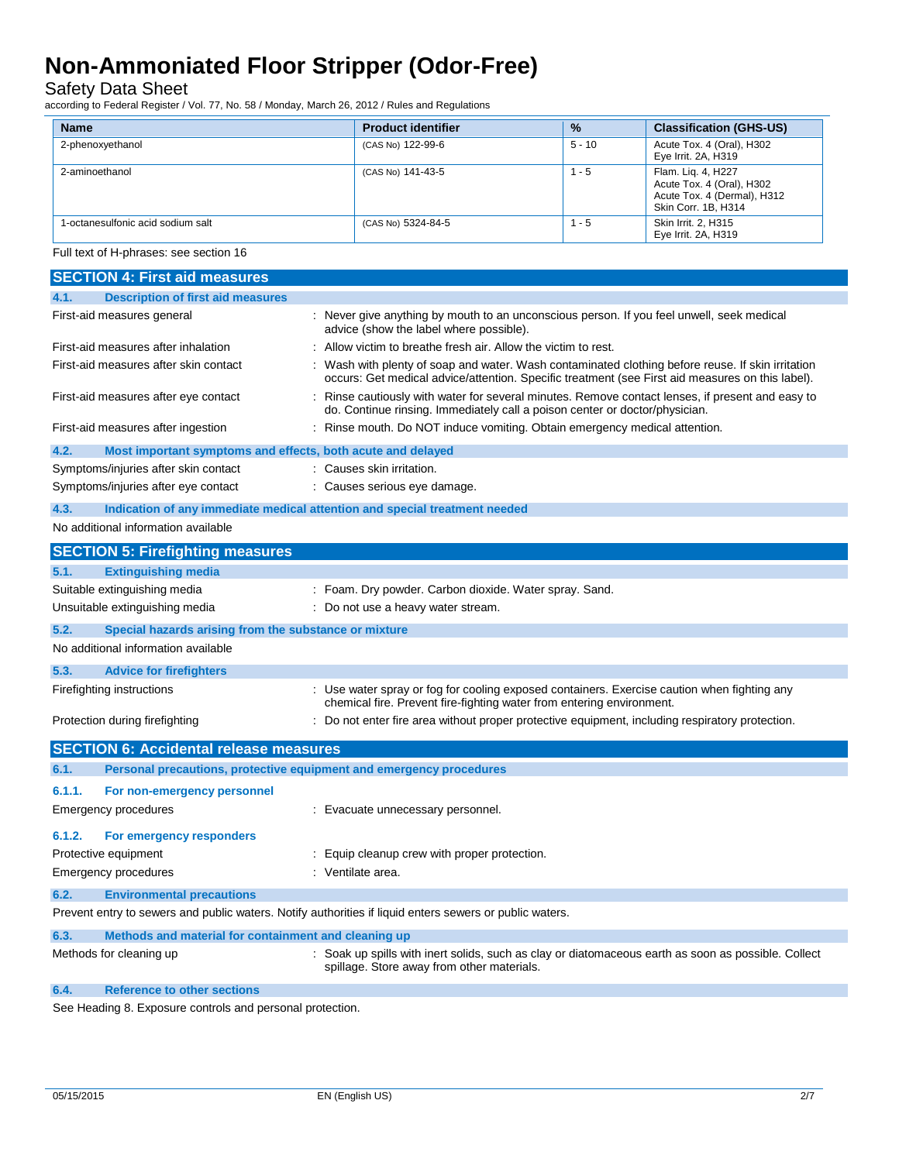Safety Data Sheet

according to Federal Register / Vol. 77, No. 58 / Monday, March 26, 2012 / Rules and Regulations

| <b>Name</b>                       | <b>Product identifier</b> | $\frac{9}{6}$ | <b>Classification (GHS-US)</b>                                                                        |
|-----------------------------------|---------------------------|---------------|-------------------------------------------------------------------------------------------------------|
| 2-phenoxyethanol                  | (CAS No) 122-99-6         | $5 - 10$      | Acute Tox. 4 (Oral), H302<br>Eye Irrit. 2A, H319                                                      |
| 2-aminoethanol                    | (CAS No) 141-43-5         | $1 - 5$       | Flam. Lig. 4, H227<br>Acute Tox. 4 (Oral), H302<br>Acute Tox. 4 (Dermal), H312<br>Skin Corr. 1B, H314 |
| 1-octanesulfonic acid sodium salt | (CAS No) 5324-84-5        | $1 - 5$       | Skin Irrit, 2, H315<br>Eve Irrit, 2A, H319                                                            |

Full text of H-phrases: see section 16

|        | <b>SECTION 4: First aid measures</b>                                       |                                                                                                                                                                                                       |
|--------|----------------------------------------------------------------------------|-------------------------------------------------------------------------------------------------------------------------------------------------------------------------------------------------------|
| 4.1.   | <b>Description of first aid measures</b>                                   |                                                                                                                                                                                                       |
|        | First-aid measures general                                                 | : Never give anything by mouth to an unconscious person. If you feel unwell, seek medical<br>advice (show the label where possible).                                                                  |
|        | First-aid measures after inhalation                                        | Allow victim to breathe fresh air. Allow the victim to rest.                                                                                                                                          |
|        | First-aid measures after skin contact                                      | : Wash with plenty of soap and water. Wash contaminated clothing before reuse. If skin irritation<br>occurs: Get medical advice/attention. Specific treatment (see First aid measures on this label). |
|        | First-aid measures after eye contact                                       | Rinse cautiously with water for several minutes. Remove contact lenses, if present and easy to<br>do. Continue rinsing. Immediately call a poison center or doctor/physician.                         |
|        | First-aid measures after ingestion                                         | : Rinse mouth. Do NOT induce vomiting. Obtain emergency medical attention.                                                                                                                            |
| 4.2.   | Most important symptoms and effects, both acute and delayed                |                                                                                                                                                                                                       |
|        | Symptoms/injuries after skin contact                                       | : Causes skin irritation.                                                                                                                                                                             |
|        | Symptoms/injuries after eye contact                                        | : Causes serious eye damage.                                                                                                                                                                          |
| 4.3.   | Indication of any immediate medical attention and special treatment needed |                                                                                                                                                                                                       |
|        | No additional information available                                        |                                                                                                                                                                                                       |
|        | <b>SECTION 5: Firefighting measures</b>                                    |                                                                                                                                                                                                       |
| 5.1.   | <b>Extinguishing media</b>                                                 |                                                                                                                                                                                                       |
|        | Suitable extinguishing media                                               | : Foam. Dry powder. Carbon dioxide. Water spray. Sand.                                                                                                                                                |
|        | Unsuitable extinguishing media                                             | : Do not use a heavy water stream.                                                                                                                                                                    |
| 5.2.   | Special hazards arising from the substance or mixture                      |                                                                                                                                                                                                       |
|        | No additional information available                                        |                                                                                                                                                                                                       |
| 5.3.   | <b>Advice for firefighters</b>                                             |                                                                                                                                                                                                       |
|        | Firefighting instructions                                                  | : Use water spray or fog for cooling exposed containers. Exercise caution when fighting any                                                                                                           |
|        |                                                                            | chemical fire. Prevent fire-fighting water from entering environment.                                                                                                                                 |
|        | Protection during firefighting                                             | : Do not enter fire area without proper protective equipment, including respiratory protection.                                                                                                       |
|        | <b>SECTION 6: Accidental release measures</b>                              |                                                                                                                                                                                                       |
| 6.1.   | Personal precautions, protective equipment and emergency procedures        |                                                                                                                                                                                                       |
| 6.1.1. | For non-emergency personnel                                                |                                                                                                                                                                                                       |
|        | Emergency procedures                                                       | : Evacuate unnecessary personnel.                                                                                                                                                                     |
| 6.1.2. | For emergency responders                                                   |                                                                                                                                                                                                       |
|        | Protective equipment                                                       |                                                                                                                                                                                                       |
|        |                                                                            | : Equip cleanup crew with proper protection.<br>: Ventilate area.                                                                                                                                     |
|        | Emergency procedures                                                       |                                                                                                                                                                                                       |
| 6.2.   | <b>Environmental precautions</b>                                           |                                                                                                                                                                                                       |
|        |                                                                            | Prevent entry to sewers and public waters. Notify authorities if liquid enters sewers or public waters.                                                                                               |
| 6.3.   | Methods and material for containment and cleaning up                       |                                                                                                                                                                                                       |
|        | Methods for cleaning up                                                    | : Soak up spills with inert solids, such as clay or diatomaceous earth as soon as possible. Collect<br>spillage. Store away from other materials.                                                     |
| 6.4.   | Reference to other sections                                                |                                                                                                                                                                                                       |

See Heading 8. Exposure controls and personal protection.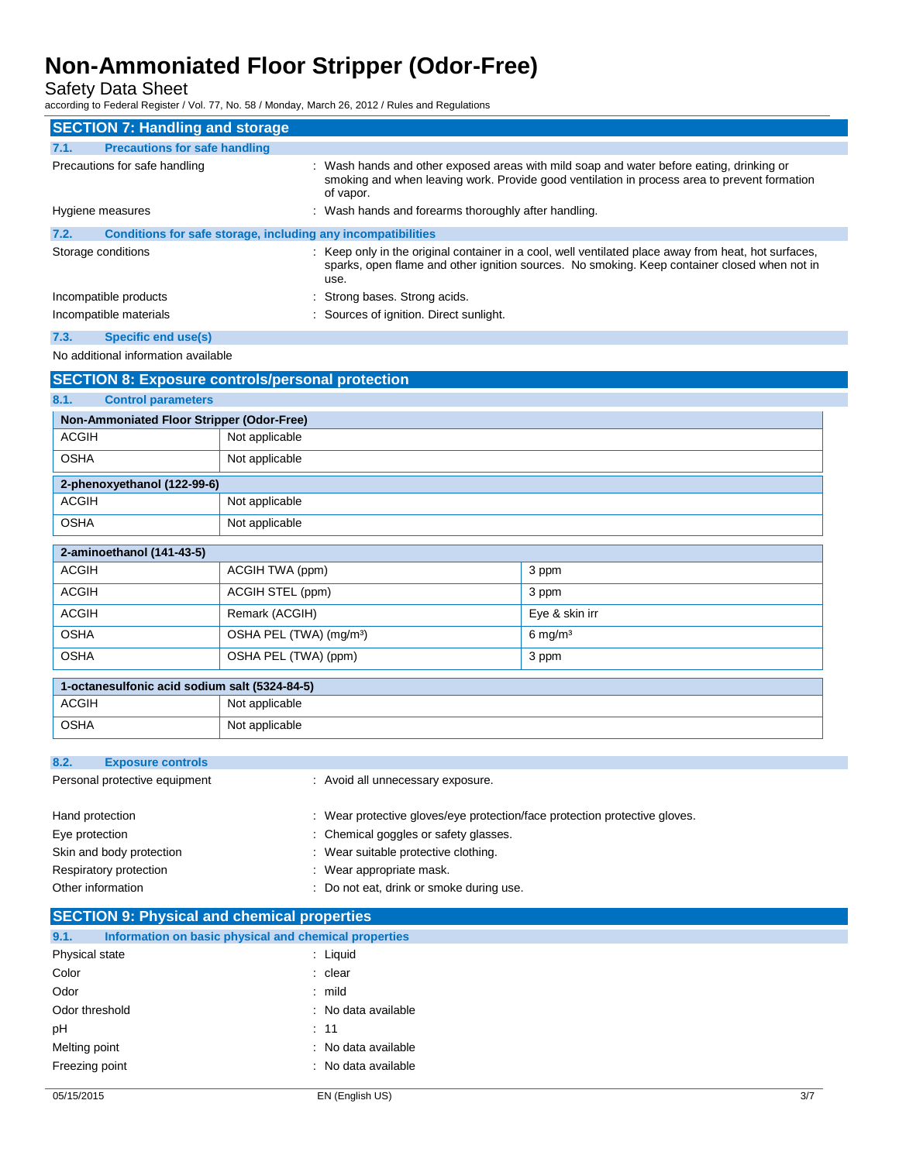Safety Data Sheet

according to Federal Register / Vol. 77, No. 58 / Monday, March 26, 2012 / Rules and Regulations

|                               | <b>SECTION 7: Handling and storage</b>                       |                |                                                                                                                                                                                                              |
|-------------------------------|--------------------------------------------------------------|----------------|--------------------------------------------------------------------------------------------------------------------------------------------------------------------------------------------------------------|
| 7.1.                          | <b>Precautions for safe handling</b>                         |                |                                                                                                                                                                                                              |
| Precautions for safe handling |                                                              |                | : Wash hands and other exposed areas with mild soap and water before eating, drinking or<br>smoking and when leaving work. Provide good ventilation in process area to prevent formation<br>of vapor.        |
|                               | Hygiene measures                                             |                | : Wash hands and forearms thoroughly after handling.                                                                                                                                                         |
| 7.2.                          | Conditions for safe storage, including any incompatibilities |                |                                                                                                                                                                                                              |
|                               | Storage conditions                                           |                | : Keep only in the original container in a cool, well ventilated place away from heat, hot surfaces,<br>sparks, open flame and other ignition sources. No smoking. Keep container closed when not in<br>use. |
|                               | Incompatible products                                        |                | : Strong bases. Strong acids.                                                                                                                                                                                |
|                               | Incompatible materials                                       |                | : Sources of ignition. Direct sunlight.                                                                                                                                                                      |
| 7.3.                          | <b>Specific end use(s)</b>                                   |                |                                                                                                                                                                                                              |
|                               | No additional information available                          |                |                                                                                                                                                                                                              |
|                               | <b>SECTION 8: Exposure controls/personal protection</b>      |                |                                                                                                                                                                                                              |
| 8.1.                          | <b>Control parameters</b>                                    |                |                                                                                                                                                                                                              |
|                               | Non-Ammoniated Floor Stripper (Odor-Free)                    |                |                                                                                                                                                                                                              |
| <b>ACGIH</b>                  |                                                              | Not applicable |                                                                                                                                                                                                              |

| OSHA                        | Not applicable |
|-----------------------------|----------------|
| 2-phenoxyethanol (122-99-6) |                |
| <b>ACGIH</b>                | Not applicable |
| <b>OSHA</b>                 | Not applicable |

| 2-aminoethanol (141-43-5) |                                     |                    |
|---------------------------|-------------------------------------|--------------------|
| <b>ACGIH</b>              | ACGIH TWA (ppm)                     | 3 ppm              |
| <b>ACGIH</b>              | ACGIH STEL (ppm)                    | 3 ppm              |
| <b>ACGIH</b>              | Remark (ACGIH)                      | Eye & skin irr     |
| <b>OSHA</b>               | OSHA PEL (TWA) (mg/m <sup>3</sup> ) | $6 \text{ mg/m}^3$ |
| <b>OSHA</b>               | OSHA PEL (TWA) (ppm)                | 3 ppm              |
|                           |                                     |                    |

| 1-octanesulfonic acid sodium salt (5324-84-5) |                |  |
|-----------------------------------------------|----------------|--|
| ACGIH                                         | Not applicable |  |
| OSHA                                          | Not applicable |  |

| 8.2.<br><b>Exposure controls</b> |                                                                            |
|----------------------------------|----------------------------------------------------------------------------|
| Personal protective equipment    | : Avoid all unnecessary exposure.                                          |
| Hand protection                  | : Wear protective gloves/eye protection/face protection protective gloves. |
| Eye protection                   | : Chemical goggles or safety glasses.                                      |
| Skin and body protection         | : Wear suitable protective clothing.                                       |
| Respiratory protection           | : Wear appropriate mask.                                                   |
| Other information                | : Do not eat, drink or smoke during use.                                   |
|                                  |                                                                            |

### **SECTION 9: Physical and chemical properties**

| 9.1.           | Information on basic physical and chemical properties |                     |
|----------------|-------------------------------------------------------|---------------------|
| Physical state |                                                       | : Liquid            |
| Color          |                                                       | : clear             |
| Odor           |                                                       | $:$ mild            |
| Odor threshold |                                                       | : No data available |
| pH             |                                                       | : 11                |
| Melting point  |                                                       | : No data available |
| Freezing point |                                                       | : No data available |
|                |                                                       |                     |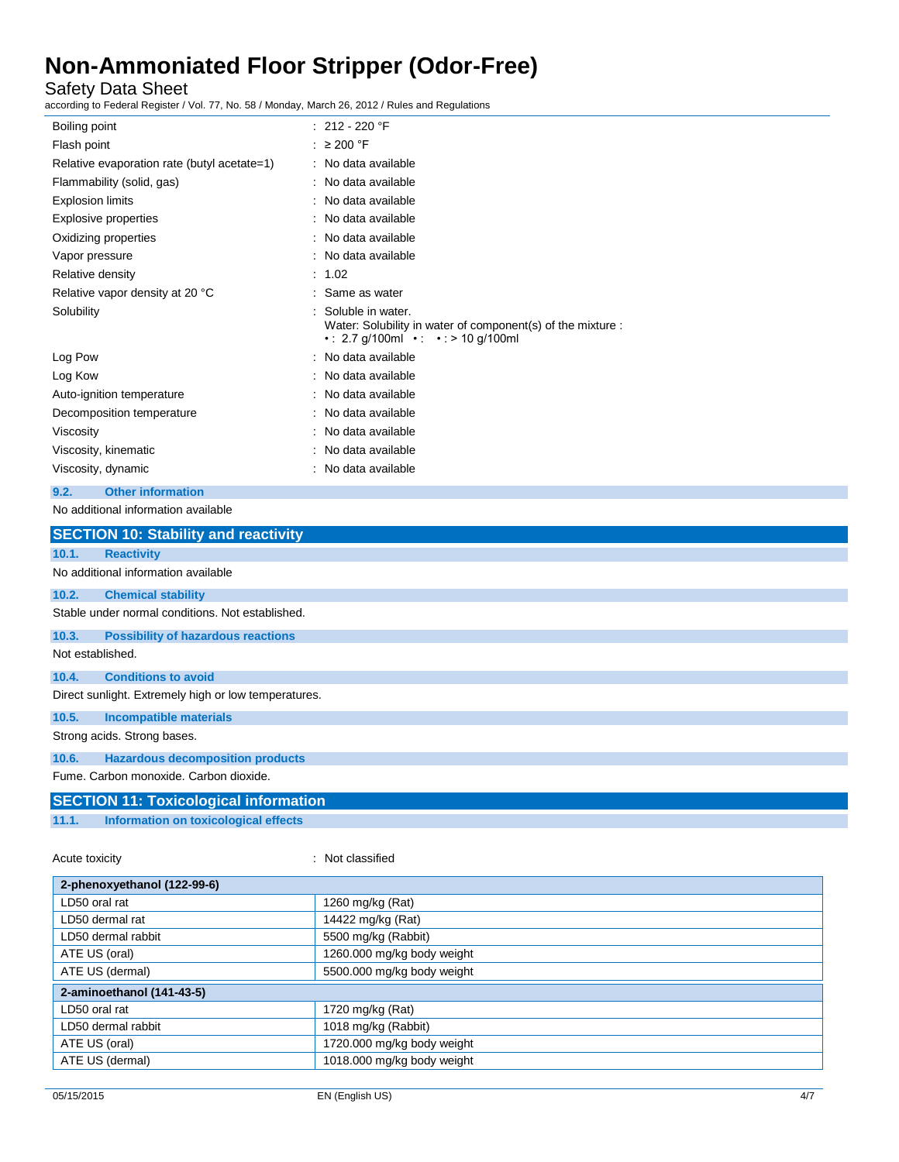Safety Data Sheet

according to Federal Register / Vol. 77, No. 58 / Monday, March 26, 2012 / Rules and Regulations

| Boiling point                                      | : $212 - 220$ °F                                                                                                         |  |  |
|----------------------------------------------------|--------------------------------------------------------------------------------------------------------------------------|--|--|
| Flash point                                        | : $\geq 200$ °F                                                                                                          |  |  |
| Relative evaporation rate (butyl acetate=1)        | : No data available                                                                                                      |  |  |
| Flammability (solid, gas)                          | : No data available                                                                                                      |  |  |
| <b>Explosion limits</b>                            | : No data available                                                                                                      |  |  |
| <b>Explosive properties</b>                        | : No data available                                                                                                      |  |  |
| Oxidizing properties                               | : No data available                                                                                                      |  |  |
| Vapor pressure                                     | : No data available                                                                                                      |  |  |
| Relative density                                   | : 1.02                                                                                                                   |  |  |
| Relative vapor density at 20 °C                    | : Same as water                                                                                                          |  |  |
| Solubility                                         | Soluble in water.<br>Water: Solubility in water of component(s) of the mixture :<br>• : 2.7 g/100ml • · • : > 10 g/100ml |  |  |
| Log Pow                                            | : No data available                                                                                                      |  |  |
| Log Kow                                            | : No data available                                                                                                      |  |  |
| Auto-ignition temperature                          | : No data available                                                                                                      |  |  |
| Decomposition temperature                          | : No data available                                                                                                      |  |  |
| Viscosity                                          | : No data available                                                                                                      |  |  |
| Viscosity, kinematic                               | : No data available                                                                                                      |  |  |
| Viscosity, dynamic                                 | : No data available                                                                                                      |  |  |
| <b>Other information</b><br>9.2.                   |                                                                                                                          |  |  |
| No additional information available                |                                                                                                                          |  |  |
| <b>SECTION 10: Stability and reactivity</b>        |                                                                                                                          |  |  |
| 10.1.<br><b>Reactivity</b>                         |                                                                                                                          |  |  |
| No additional information available                |                                                                                                                          |  |  |
| 10.2.<br><b>Chemical stability</b>                 |                                                                                                                          |  |  |
| Stable under normal conditions. Not established.   |                                                                                                                          |  |  |
| 10.3.<br><b>Possibility of hazardous reactions</b> |                                                                                                                          |  |  |
| Not optablished                                    |                                                                                                                          |  |  |

Not established.

**10.4. Conditions to avoid**

Direct sunlight. Extremely high or low temperatures.

**10.5. Incompatible materials**

Strong acids. Strong bases.

**10.6. Hazardous decomposition products**

Fume. Carbon monoxide. Carbon dioxide.

### **SECTION 11: Toxicological information**

**11.1. Information on toxicological effects**

Acute toxicity **in the case of the case of the case of the case of the case of the case of the case of the case of the case of the case of the case of the case of the case of the case of the case of the case of the case of** 

| 2-phenoxyethanol (122-99-6)                 |                            |  |
|---------------------------------------------|----------------------------|--|
| LD50 oral rat<br>1260 mg/kg (Rat)           |                            |  |
| LD50 dermal rat                             | 14422 mg/kg (Rat)          |  |
| LD50 dermal rabbit                          | 5500 mg/kg (Rabbit)        |  |
| ATE US (oral)                               | 1260.000 mg/kg body weight |  |
| ATE US (dermal)                             | 5500.000 mg/kg body weight |  |
| 2-aminoethanol (141-43-5)                   |                            |  |
| LD50 oral rat                               | 1720 mg/kg (Rat)           |  |
| LD50 dermal rabbit                          | 1018 mg/kg (Rabbit)        |  |
| 1720.000 mg/kg body weight<br>ATE US (oral) |                            |  |
| ATE US (dermal)                             | 1018.000 mg/kg body weight |  |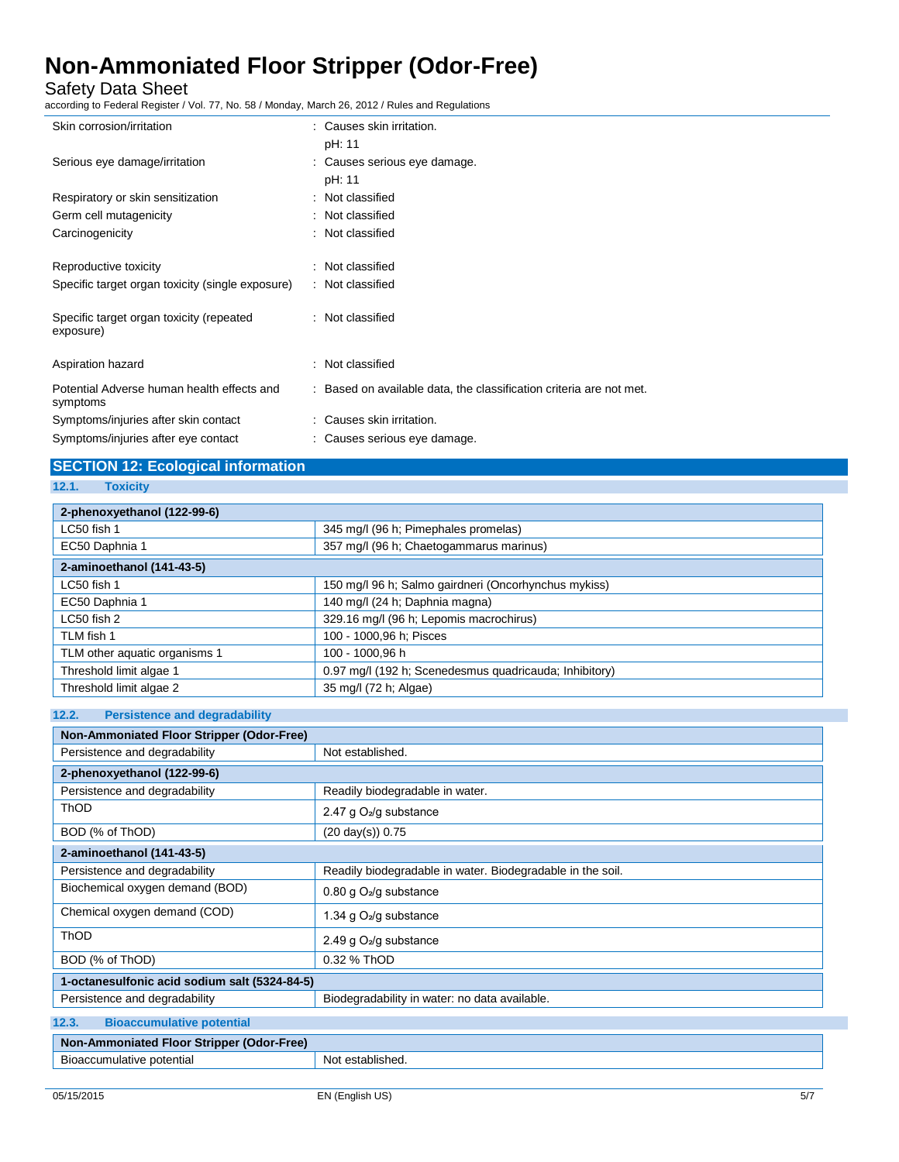Safety Data Sheet

according to Federal Register / Vol. 77, No. 58 / Monday, March 26, 2012 / Rules and Regulations

| Skin corrosion/irritation                              | : Causes skin irritation.                                           |
|--------------------------------------------------------|---------------------------------------------------------------------|
|                                                        | pH: 11                                                              |
| Serious eye damage/irritation                          | : Causes serious eye damage.                                        |
|                                                        | pH: 11                                                              |
| Respiratory or skin sensitization                      | : Not classified                                                    |
| Germ cell mutagenicity                                 | : Not classified                                                    |
| Carcinogenicity                                        | : Not classified                                                    |
| Reproductive toxicity                                  | : Not classified                                                    |
| Specific target organ toxicity (single exposure)       | : Not classified                                                    |
| Specific target organ toxicity (repeated<br>exposure)  | : Not classified                                                    |
| Aspiration hazard                                      | : Not classified                                                    |
| Potential Adverse human health effects and<br>symptoms | : Based on available data, the classification criteria are not met. |
| Symptoms/injuries after skin contact                   | : Causes skin irritation.                                           |
| Symptoms/injuries after eye contact                    | : Causes serious eye damage.                                        |

### **SECTION 12: Ecological information**

**12.1. Toxicity**

| 2-phenoxyethanol (122-99-6)   |                                                        |  |
|-------------------------------|--------------------------------------------------------|--|
| LC50 fish 1                   | 345 mg/l (96 h; Pimephales promelas)                   |  |
| EC50 Daphnia 1                | 357 mg/l (96 h; Chaetogammarus marinus)                |  |
| 2-aminoethanol (141-43-5)     |                                                        |  |
| LC50 fish 1                   | 150 mg/l 96 h; Salmo gairdneri (Oncorhynchus mykiss)   |  |
| EC50 Daphnia 1                | 140 mg/l (24 h; Daphnia magna)                         |  |
| LC50 fish 2                   | 329.16 mg/l (96 h; Lepomis macrochirus)                |  |
| TLM fish 1                    | 100 - 1000,96 h; Pisces                                |  |
| TLM other aquatic organisms 1 | 100 - 1000.96 h                                        |  |
| Threshold limit algae 1       | 0.97 mg/l (192 h; Scenedesmus quadricauda; Inhibitory) |  |
| Threshold limit algae 2       | 35 mg/l (72 h; Algae)                                  |  |

#### **12.2. Persistence and degradability**

| Non-Ammoniated Floor Stripper (Odor-Free)     |                                                            |  |
|-----------------------------------------------|------------------------------------------------------------|--|
| Persistence and degradability                 | Not established.                                           |  |
| 2-phenoxyethanol (122-99-6)                   |                                                            |  |
| Persistence and degradability                 | Readily biodegradable in water.                            |  |
| ThOD                                          | 2.47 g $O_2$ /g substance                                  |  |
| BOD (% of ThOD)                               | $(20 \text{ day(s)})$ 0.75                                 |  |
| 2-aminoethanol (141-43-5)                     |                                                            |  |
| Persistence and degradability                 | Readily biodegradable in water. Biodegradable in the soil. |  |
| Biochemical oxygen demand (BOD)               | 0.80 g O <sub>2</sub> /g substance                         |  |
| Chemical oxygen demand (COD)                  | 1.34 g $O_2$ /g substance                                  |  |
| <b>ThOD</b>                                   | 2.49 g $O_2$ /g substance                                  |  |
| BOD (% of ThOD)                               | 0.32 % ThOD                                                |  |
| 1-octanesulfonic acid sodium salt (5324-84-5) |                                                            |  |
| Persistence and degradability                 | Biodegradability in water: no data available.              |  |
| 12.3.<br><b>Bioaccumulative potential</b>     |                                                            |  |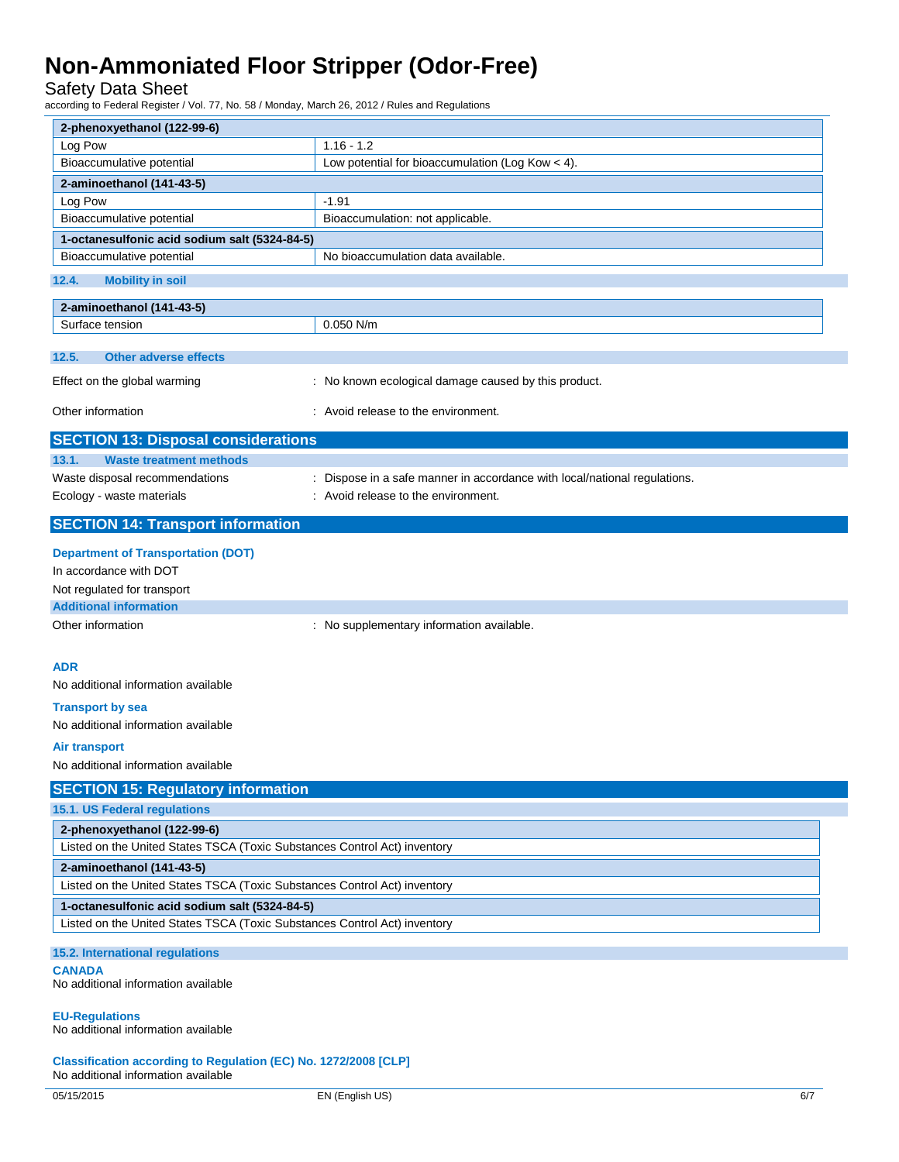Safety Data Sheet

according to Federal Register / Vol. 77, No. 58 / Monday, March 26, 2012 / Rules and Regulations

| 2-phenoxyethanol (122-99-6)                                               |                                                                         |  |
|---------------------------------------------------------------------------|-------------------------------------------------------------------------|--|
| Log Pow                                                                   | $1.16 - 1.2$                                                            |  |
| Bioaccumulative potential                                                 | Low potential for bioaccumulation (Log Kow $<$ 4).                      |  |
| 2-aminoethanol (141-43-5)                                                 |                                                                         |  |
| Log Pow                                                                   | $-1.91$                                                                 |  |
| Bioaccumulative potential                                                 | Bioaccumulation: not applicable.                                        |  |
| 1-octanesulfonic acid sodium salt (5324-84-5)                             |                                                                         |  |
| Bioaccumulative potential                                                 | No bioaccumulation data available.                                      |  |
| 12.4.<br><b>Mobility in soil</b>                                          |                                                                         |  |
|                                                                           |                                                                         |  |
| 2-aminoethanol (141-43-5)<br>Surface tension                              | 0.050 N/m                                                               |  |
|                                                                           |                                                                         |  |
| 12.5.<br><b>Other adverse effects</b>                                     |                                                                         |  |
|                                                                           |                                                                         |  |
| Effect on the global warming                                              | : No known ecological damage caused by this product.                    |  |
| Other information                                                         | : Avoid release to the environment.                                     |  |
|                                                                           |                                                                         |  |
| <b>SECTION 13: Disposal considerations</b>                                |                                                                         |  |
| 13.1.<br><b>Waste treatment methods</b>                                   |                                                                         |  |
| Waste disposal recommendations                                            | Dispose in a safe manner in accordance with local/national regulations. |  |
| Ecology - waste materials                                                 | : Avoid release to the environment.                                     |  |
| <b>SECTION 14: Transport information</b>                                  |                                                                         |  |
|                                                                           |                                                                         |  |
| <b>Department of Transportation (DOT)</b>                                 |                                                                         |  |
| In accordance with DOT                                                    |                                                                         |  |
| Not regulated for transport                                               |                                                                         |  |
| <b>Additional information</b>                                             |                                                                         |  |
| Other information                                                         | : No supplementary information available.                               |  |
|                                                                           |                                                                         |  |
| <b>ADR</b>                                                                |                                                                         |  |
| No additional information available                                       |                                                                         |  |
| <b>Transport by sea</b>                                                   |                                                                         |  |
| No additional information available                                       |                                                                         |  |
| Air transport                                                             |                                                                         |  |
| No additional information available                                       |                                                                         |  |
|                                                                           |                                                                         |  |
| <b>SECTION 15: Regulatory information</b>                                 |                                                                         |  |
| 15.1. US Federal regulations                                              |                                                                         |  |
| 2-phenoxyethanol (122-99-6)                                               |                                                                         |  |
| Listed on the United States TSCA (Toxic Substances Control Act) inventory |                                                                         |  |
| 2-aminoethanol (141-43-5)                                                 |                                                                         |  |
| Listed on the United States TSCA (Toxic Substances Control Act) inventory |                                                                         |  |
| 1-octanesulfonic acid sodium salt (5324-84-5)                             |                                                                         |  |
| Listed on the United States TSCA (Toxic Substances Control Act) inventory |                                                                         |  |
| 15.2. International regulations                                           |                                                                         |  |
| <b>CANADA</b>                                                             |                                                                         |  |
| No additional information available                                       |                                                                         |  |
|                                                                           |                                                                         |  |
| <b>EU-Regulations</b>                                                     |                                                                         |  |
| No additional information available                                       |                                                                         |  |
| Classification according to Regulation (EC) No. 1272/2008 [CLP]           |                                                                         |  |

No additional information available